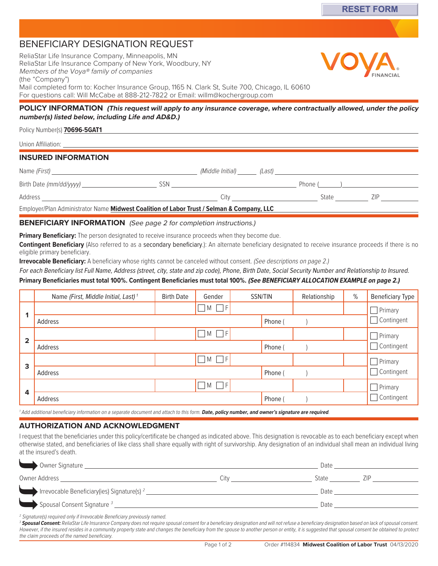# BENEFICIARY DESIGNATION REQUEST

ReliaStar Life Insurance Company, Minneapolis, MN ReliaStar Life Insurance Company of New York, Woodbury, NY Members of the Voya® family of companies (the "Company") Mail completed form to: Kocher Insurance Group, 1165 N. Clark St, Suite 700, Chicago, IL 60610 For questions call: Will McCabe at 888-212[-7822 or Email: willm@kochergrou](mailto:memberservices@selmanco.com)p.com

### **POLICY INFORMATION (This request will apply to any insurance coverage, where contractually allowed, under the policy number(s) listed below, including Life and AD&D.)**

### Policy Number(s) **70696-5GAT1**

Union Affiliation:

## **INSURED INFORMATION**

| Name (First)                                                                              |     | (Middle Initial)     (Last) |         |       |  |  |
|-------------------------------------------------------------------------------------------|-----|-----------------------------|---------|-------|--|--|
| Birth Date (mm/dd/yyyy)                                                                   | SSN |                             | Phone ( |       |  |  |
| Address                                                                                   |     | City                        |         | State |  |  |
| Employer/Plan Administrator Name Midwest Coalition of Labor Trust / Selman & Company, LLC |     |                             |         |       |  |  |

### **BENEFICIARY INFORMATION** (See page 2 for completion instructions.)

**Primary Beneficiary:** The person designated to receive insurance proceeds when they become due.

**Contingent Beneficiary** (Also referred to as a secondary beneficiary.): An alternate beneficiary designated to receive insurance proceeds if there is no eligible primary beneficiary.

**Irrevocable Beneficiary:** A beneficiary whose rights cannot be canceled without consent. (See descriptions on page 2.)

## For each Beneficiary list Full Name, Address (street, city, state and zip code), Phone, Birth Date, Social Security Number and Relationship to Insured.

# **Primary Beneficiaries must total 100%. Contingent Beneficiaries must total 100%. (See BENEFICIARY ALLOCATION EXAMPLE on page 2.)**

|                | Name (First, Middle Initial, Last) <sup>1</sup> | <b>Birth Date</b> | Gender                |  | SSN/TIN | Relationship | $\%$ | <b>Beneficiary Type</b> |  |
|----------------|-------------------------------------------------|-------------------|-----------------------|--|---------|--------------|------|-------------------------|--|
|                |                                                 |                   | $\Box M \Box F$       |  |         |              |      | $\Box$ Primary          |  |
|                | Address                                         |                   |                       |  | Phone ( |              |      | Contingent              |  |
|                |                                                 |                   | $\Box$ M $\Box$ F     |  |         |              |      | Primary                 |  |
| $\overline{2}$ | Address                                         |                   |                       |  | Phone ( |              |      | Contingent              |  |
| 3              |                                                 |                   | $\Box M$ $\Box F$     |  |         |              |      | Primary                 |  |
|                | Address                                         |                   |                       |  | Phone ( |              |      | Contingent              |  |
| 4              |                                                 |                   | $\sqcap$ M $\sqcap$ F |  |         |              |      | Primary                 |  |
|                | Address                                         |                   |                       |  | Phone ( |              |      | Contingent              |  |

<sup>1</sup> Add additional beneficiary information on a separate document and attach to this form. **Date, policy number, and owner's signature are required**.

### **AUTHORIZATION AND ACKNOWLEDGMENT**

I request that the beneficiaries under this policy/certificate be changed as indicated above. This designation is revocable as to each beneficiary except when otherwise stated, and beneficiaries of like class shall share equally with right of survivorship. Any designation of an individual shall mean an individual living at the insured's death.

| Owner Signature _                                                                    |      | Date         |  |
|--------------------------------------------------------------------------------------|------|--------------|--|
| Owner Address                                                                        | Citv | 7ID<br>State |  |
| Irrevocable Beneficiary (ies) Signature (s) 2                                        |      | Date         |  |
| > Spousal Consent Signature 3                                                        |      | Date         |  |
| <sup>2</sup> Signature(s) required only if Irrevocable Beneficiary previously named. |      |              |  |

<sup>3</sup> Spousal Consent: ReliaStar Life Insurance Company does not require spousal consent for a beneficiary designation and will not refuse a beneficiary designation based on lack of spousal consent. However, if the insured resides in a community property state and changes the beneficiary from the spouse to another person or entity, it is suggested that spousal consent be obtained to protect the claim proceeds of the named beneficiary.